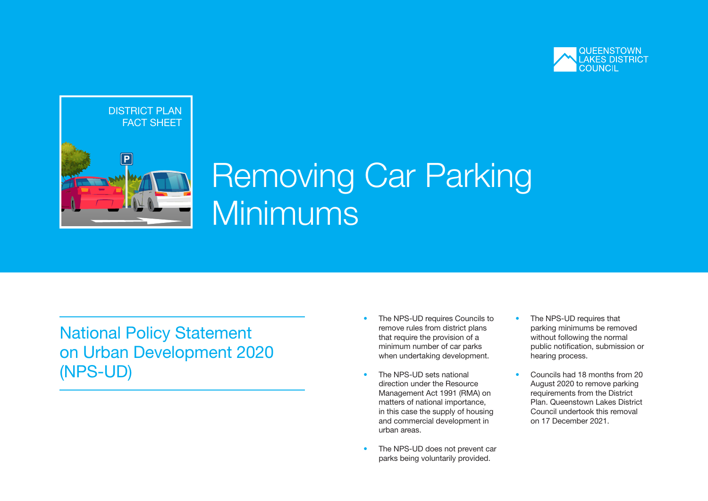



# Removing Car Parking Minimums

National Policy Statement on Urban Development 2020 (NPS-UD)

- The NPS-UD requires Councils to remove rules from district plans that require the provision of a minimum number of car parks when undertaking development.
- The NPS-UD sets national direction under the Resource Management Act 1991 (RMA) on matters of national importance, in this case the supply of housing and commercial development in urban areas.
- The NPS-UD does not prevent car parks being voluntarily provided.
- The NPS-UD requires that parking minimums be removed without following the normal public notification, submission or hearing process.
- Councils had 18 months from 20 August 2020 to remove parking requirements from the District Plan. Queenstown Lakes District Council undertook this removal on 17 December 2021.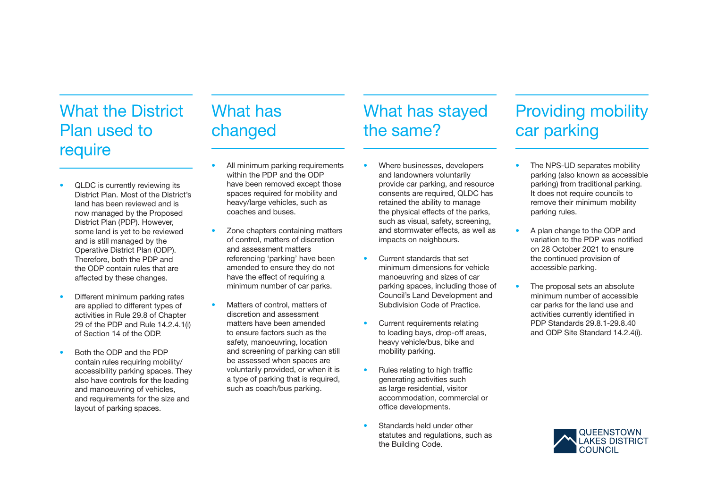## What the District Plan used to require

# What has changed

# What has stayed the same?

- QLDC is currently reviewing its District Plan. Most of the District's land has been reviewed and is now managed by the Proposed District Plan (PDP). However, some land is yet to be reviewed and is still managed by the Operative District Plan (ODP). Therefore, both the PDP and the ODP contain rules that are affected by these changes.
- Different minimum parking rates are applied to different types of activities in Rule 29.8 of Chapter 29 of the PDP and Rule 14.2.4.1(i) of Section 14 of the ODP.
- Both the ODP and the PDP contain rules requiring mobility/ accessibility parking spaces. They also have controls for the loading and manoeuvring of vehicles, and requirements for the size and layout of parking spaces.
- All minimum parking requirements within the PDP and the ODP have been removed except those spaces required for mobility and heavy/large vehicles, such as coaches and buses.
- Zone chapters containing matters of control, matters of discretion and assessment matters referencing 'parking' have been amended to ensure they do not have the effect of requiring a minimum number of car parks.
- Matters of control, matters of discretion and assessment matters have been amended to ensure factors such as the safety, manoeuvring, location and screening of parking can still be assessed when spaces are voluntarily provided, or when it is a type of parking that is required, such as coach/bus parking.
- Where businesses, developers and landowners voluntarily provide car parking, and resource consents are required, QLDC has retained the ability to manage the physical effects of the parks, such as visual, safety, screening, and stormwater effects, as well as impacts on neighbours.
- Current standards that set minimum dimensions for vehicle manoeuvring and sizes of car parking spaces, including those of Council's Land Development and Subdivision Code of Practice.
- Current requirements relating to loading bays, drop-off areas, heavy vehicle/bus, bike and mobility parking.
- Rules relating to high traffic generating activities such as large residential, visitor accommodation, commercial or office developments.
- Standards held under other statutes and regulations, such as the Building Code.

## Providing mobility car parking

- The NPS-UD separates mobility parking (also known as accessible parking) from traditional parking. It does not require councils to remove their minimum mobility parking rules.
- A plan change to the ODP and variation to the PDP was notified on 28 October 2021 to ensure the continued provision of accessible parking.
- The proposal sets an absolute minimum number of accessible car parks for the land use and activities currently identified in PDP Standards 29.8.1-29.8.40 and ODP Site Standard 14.2.4(i).